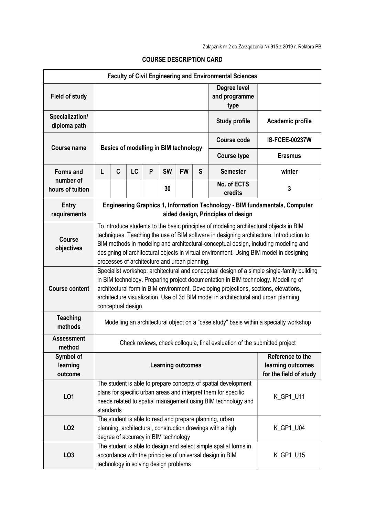| <b>Faculty of Civil Engineering and Environmental Sciences</b> |                                                                                                                                                                                                                                                                                                                                                                                                                      |   |    |   |                                       |           |                                       |                                                                                                                                            |                       |  |
|----------------------------------------------------------------|----------------------------------------------------------------------------------------------------------------------------------------------------------------------------------------------------------------------------------------------------------------------------------------------------------------------------------------------------------------------------------------------------------------------|---|----|---|---------------------------------------|-----------|---------------------------------------|--------------------------------------------------------------------------------------------------------------------------------------------|-----------------------|--|
| <b>Field of study</b>                                          |                                                                                                                                                                                                                                                                                                                                                                                                                      |   |    |   |                                       |           | Degree level<br>and programme<br>type |                                                                                                                                            |                       |  |
| Specialization/<br>diploma path                                |                                                                                                                                                                                                                                                                                                                                                                                                                      |   |    |   |                                       |           |                                       | <b>Study profile</b>                                                                                                                       | Academic profile      |  |
| <b>Course name</b>                                             | <b>Basics of modelling in BIM technology</b>                                                                                                                                                                                                                                                                                                                                                                         |   |    |   |                                       |           |                                       | Course code                                                                                                                                | <b>IS-FCEE-00237W</b> |  |
|                                                                |                                                                                                                                                                                                                                                                                                                                                                                                                      |   |    |   |                                       |           |                                       | <b>Course type</b>                                                                                                                         | <b>Erasmus</b>        |  |
| <b>Forms and</b>                                               | L                                                                                                                                                                                                                                                                                                                                                                                                                    | C | LC | P | <b>SW</b>                             | <b>FW</b> | S                                     | <b>Semester</b>                                                                                                                            | winter                |  |
| number of<br>hours of tuition                                  |                                                                                                                                                                                                                                                                                                                                                                                                                      |   |    |   | 30                                    |           |                                       | No. of ECTS<br>credits                                                                                                                     | 3                     |  |
| <b>Entry</b><br>requirements                                   | Engineering Graphics 1, Information Technology - BIM fundamentals, Computer<br>aided design, Principles of design                                                                                                                                                                                                                                                                                                    |   |    |   |                                       |           |                                       |                                                                                                                                            |                       |  |
| Course<br>objectives                                           | To introduce students to the basic principles of modeling architectural objects in BIM<br>techniques. Teaching the use of BIM software in designing architecture. Introduction to<br>BIM methods in modeling and architectural-conceptual design, including modeling and<br>designing of architectural objects in virtual environment. Using BIM model in designing<br>processes of architecture and urban planning. |   |    |   |                                       |           |                                       |                                                                                                                                            |                       |  |
| <b>Course content</b>                                          | Specialist workshop: architectural and conceptual design of a simple single-family building<br>in BIM technology. Preparing project documentation in BIM technology. Modelling of<br>architectural form in BIM environment. Developing projections, sections, elevations,<br>architecture visualization. Use of 3d BIM model in architectural and urban planning<br>conceptual design.                               |   |    |   |                                       |           |                                       |                                                                                                                                            |                       |  |
| <b>Teaching</b><br>methods                                     | Modelling an architectural object on a "case study" basis within a specialty workshop                                                                                                                                                                                                                                                                                                                                |   |    |   |                                       |           |                                       |                                                                                                                                            |                       |  |
| <b>Assessment</b><br>method                                    | Check reviews, check colloquia, final evaluation of the submitted project                                                                                                                                                                                                                                                                                                                                            |   |    |   |                                       |           |                                       |                                                                                                                                            |                       |  |
| Symbol of<br>learning<br>outcome                               | Reference to the<br><b>Learning outcomes</b><br>learning outcomes                                                                                                                                                                                                                                                                                                                                                    |   |    |   |                                       |           |                                       | for the field of study                                                                                                                     |                       |  |
| LO1                                                            | The student is able to prepare concepts of spatial development<br>plans for specific urban areas and interpret them for specific<br>K_GP1_U11<br>needs related to spatial management using BIM technology and<br>standards                                                                                                                                                                                           |   |    |   |                                       |           |                                       |                                                                                                                                            |                       |  |
| LO <sub>2</sub>                                                |                                                                                                                                                                                                                                                                                                                                                                                                                      |   |    |   | degree of accuracy in BIM technology  |           |                                       | The student is able to read and prepare planning, urban<br>planning, architectural, construction drawings with a high                      | K_GP1_U04             |  |
| LO <sub>3</sub>                                                |                                                                                                                                                                                                                                                                                                                                                                                                                      |   |    |   | technology in solving design problems |           |                                       | The student is able to design and select simple spatial forms in<br>accordance with the principles of universal design in BIM<br>K_GP1_U15 |                       |  |

## COURSE DESCRIPTION CARD